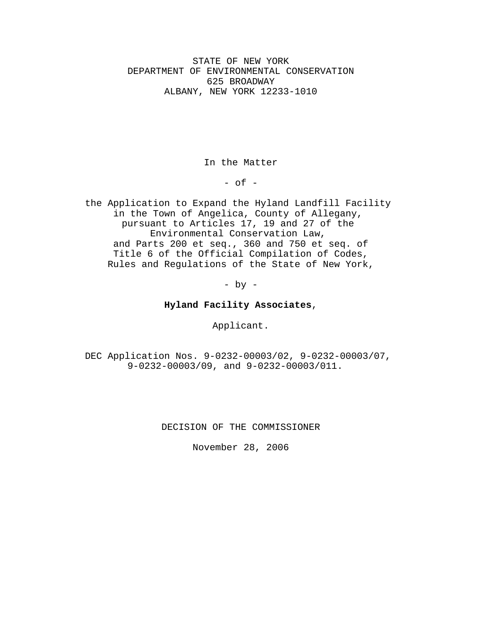STATE OF NEW YORK DEPARTMENT OF ENVIRONMENTAL CONSERVATION 625 BROADWAY ALBANY, NEW YORK 12233-1010

In the Matter

 $-$  of  $-$ 

the Application to Expand the Hyland Landfill Facility in the Town of Angelica, County of Allegany, pursuant to Articles 17, 19 and 27 of the Environmental Conservation Law, and Parts 200 et seq., 360 and 750 et seq. of Title 6 of the Official Compilation of Codes, Rules and Regulations of the State of New York,

 $-$  by  $-$ 

## **Hyland Facility Associates**,

Applicant.

DEC Application Nos. 9-0232-00003/02, 9-0232-00003/07, 9-0232-00003/09, and 9-0232-00003/011.

DECISION OF THE COMMISSIONER

November 28, 2006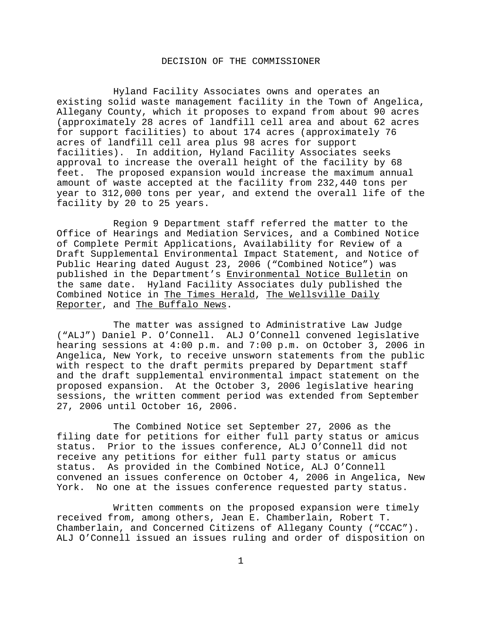## DECISION OF THE COMMISSIONER

Hyland Facility Associates owns and operates an existing solid waste management facility in the Town of Angelica, Allegany County, which it proposes to expand from about 90 acres (approximately 28 acres of landfill cell area and about 62 acres for support facilities) to about 174 acres (approximately 76 acres of landfill cell area plus 98 acres for support facilities). In addition, Hyland Facility Associates seeks approval to increase the overall height of the facility by 68 feet. The proposed expansion would increase the maximum annual amount of waste accepted at the facility from 232,440 tons per year to 312,000 tons per year, and extend the overall life of the facility by 20 to 25 years.

Region 9 Department staff referred the matter to the Office of Hearings and Mediation Services, and a Combined Notice of Complete Permit Applications, Availability for Review of a Draft Supplemental Environmental Impact Statement, and Notice of Public Hearing dated August 23, 2006 ("Combined Notice") was published in the Department's Environmental Notice Bulletin on the same date. Hyland Facility Associates duly published the Combined Notice in The Times Herald, The Wellsville Daily Reporter, and The Buffalo News.

The matter was assigned to Administrative Law Judge ("ALJ") Daniel P. O'Connell. ALJ O'Connell convened legislative hearing sessions at 4:00 p.m. and 7:00 p.m. on October 3, 2006 in Angelica, New York, to receive unsworn statements from the public with respect to the draft permits prepared by Department staff and the draft supplemental environmental impact statement on the proposed expansion. At the October 3, 2006 legislative hearing sessions, the written comment period was extended from September 27, 2006 until October 16, 2006.

The Combined Notice set September 27, 2006 as the filing date for petitions for either full party status or amicus status. Prior to the issues conference, ALJ O'Connell did not receive any petitions for either full party status or amicus status. As provided in the Combined Notice, ALJ O'Connell convened an issues conference on October 4, 2006 in Angelica, New York. No one at the issues conference requested party status.

Written comments on the proposed expansion were timely received from, among others, Jean E. Chamberlain, Robert T. Chamberlain, and Concerned Citizens of Allegany County ("CCAC"). ALJ O'Connell issued an issues ruling and order of disposition on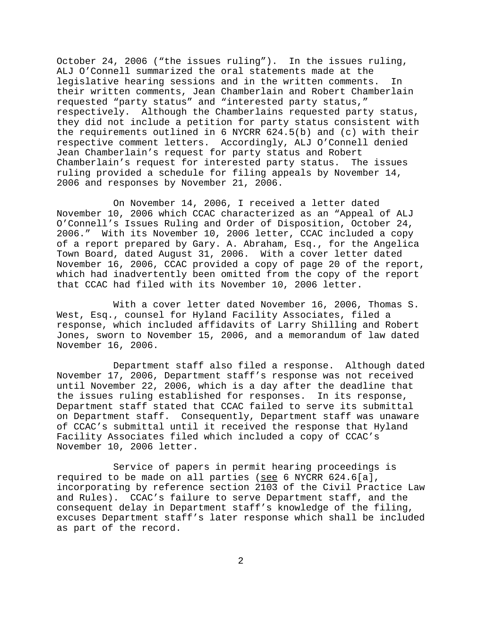October 24, 2006 ("the issues ruling"). In the issues ruling, ALJ O'Connell summarized the oral statements made at the legislative hearing sessions and in the written comments. In their written comments, Jean Chamberlain and Robert Chamberlain requested "party status" and "interested party status," respectively. Although the Chamberlains requested party status, they did not include a petition for party status consistent with the requirements outlined in 6 NYCRR 624.5(b) and (c) with their respective comment letters. Accordingly, ALJ O'Connell denied Jean Chamberlain's request for party status and Robert Chamberlain's request for interested party status. The issues ruling provided a schedule for filing appeals by November 14, 2006 and responses by November 21, 2006.

On November 14, 2006, I received a letter dated November 10, 2006 which CCAC characterized as an "Appeal of ALJ O'Connell's Issues Ruling and Order of Disposition, October 24, 2006." With its November 10, 2006 letter, CCAC included a copy of a report prepared by Gary. A. Abraham, Esq., for the Angelica Town Board, dated August 31, 2006. With a cover letter dated November 16, 2006, CCAC provided a copy of page 20 of the report, which had inadvertently been omitted from the copy of the report that CCAC had filed with its November 10, 2006 letter.

With a cover letter dated November 16, 2006, Thomas S. West, Esq., counsel for Hyland Facility Associates, filed a response, which included affidavits of Larry Shilling and Robert Jones, sworn to November 15, 2006, and a memorandum of law dated November 16, 2006.

Department staff also filed a response. Although dated November 17, 2006, Department staff's response was not received until November 22, 2006, which is a day after the deadline that the issues ruling established for responses. In its response, Department staff stated that CCAC failed to serve its submittal on Department staff. Consequently, Department staff was unaware of CCAC's submittal until it received the response that Hyland Facility Associates filed which included a copy of CCAC's November 10, 2006 letter.

Service of papers in permit hearing proceedings is required to be made on all parties (see 6 NYCRR 624.6[a], incorporating by reference section 2103 of the Civil Practice Law and Rules). CCAC's failure to serve Department staff, and the consequent delay in Department staff's knowledge of the filing, excuses Department staff's later response which shall be included as part of the record.